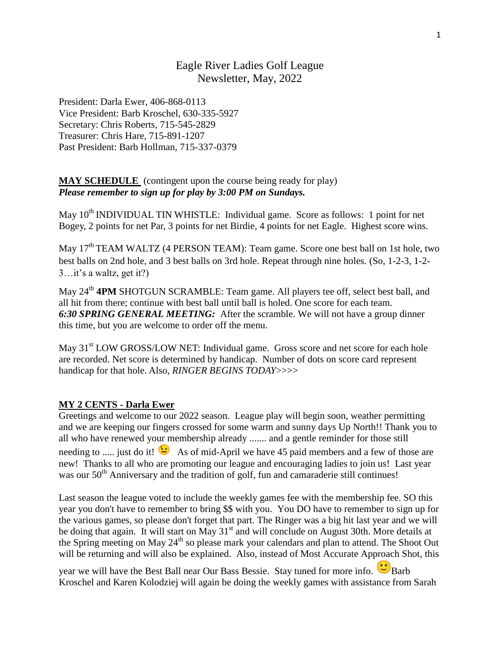# Eagle River Ladies Golf League Newsletter, May, 2022

President: Darla Ewer, 406-868-0113 Vice President: Barb Kroschel, 630-335-5927 Secretary: Chris Roberts, 715-545-2829 Treasurer: Chris Hare, 715-891-1207 Past President: Barb Hollman, [715-337-0379](tel:+17153370379)

### **MAY SCHEDULE** (contingent upon the course being ready for play) *Please remember to sign up for play by 3:00 PM on Sundays.*

May 10<sup>th</sup> INDIVIDUAL TIN WHISTLE: Individual game. Score as follows: 1 point for net Bogey, 2 points for net Par, 3 points for net Birdie, 4 points for net Eagle. Highest score wins.

May  $17<sup>th</sup> TEAM WALTZ (4 PERSON TEAM): Team game. Score one best ball on 1st hole, two$ best balls on 2nd hole, and 3 best balls on 3rd hole. Repeat through nine holes. (So, 1-2-3, 1-2- 3…it's a waltz, get it?)

May 24<sup>th</sup> 4PM SHOTGUN SCRAMBLE: Team game. All players tee off, select best ball, and all hit from there; continue with best ball until ball is holed. One score for each team. *6:30 SPRING GENERAL MEETING:* After the scramble. We will not have a group dinner this time, but you are welcome to order off the menu.

May 31<sup>st</sup> LOW GROSS/LOW NET: Individual game. Gross score and net score for each hole are recorded. Net score is determined by handicap. Number of dots on score card represent handicap for that hole. Also, *RINGER BEGINS TODAY*>>>>

### **MY 2 CENTS - Darla Ewer**

Greetings and welcome to our 2022 season. League play will begin soon, weather permitting and we are keeping our fingers crossed for some warm and sunny days Up North!! Thank you to all who have renewed your membership already ....... and a gentle reminder for those still needing to ..... just do it!  $\bullet$  As of mid-April we have 45 paid members and a few of those are new! Thanks to all who are promoting our league and encouraging ladies to join us! Last year was our  $50<sup>th</sup>$  Anniversary and the tradition of golf, fun and camaraderie still continues!

Last season the league voted to include the weekly games fee with the membership fee. SO this year you don't have to remember to bring \$\$ with you. You DO have to remember to sign up for the various games, so please don't forget that part. The Ringer was a big hit last year and we will be doing that again. It will start on May 31<sup>st</sup> and will conclude on August 30th. More details at the Spring meeting on May 24<sup>th</sup> so please mark your calendars and plan to attend. The Shoot Out will be returning and will also be explained. Also, instead of Most Accurate Approach Shot, this

year we will have the Best Ball near Our Bass Bessie. Stay tuned for more info. Barb Kroschel and Karen Kolodziej will again be doing the weekly games with assistance from Sarah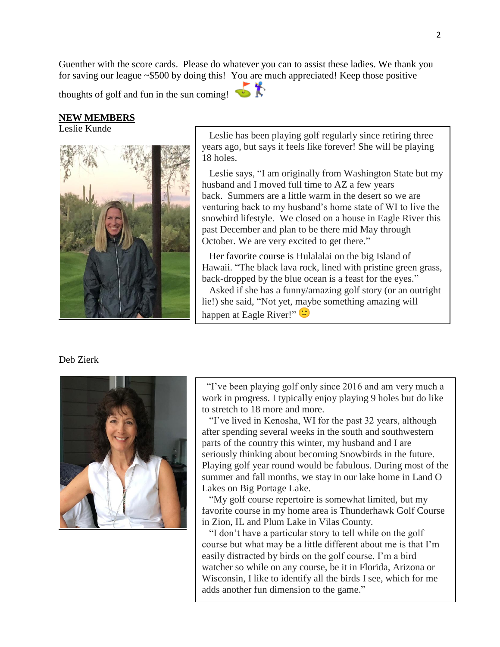Guenther with the score cards. Please do whatever you can to assist these ladies. We thank you for saving our league ~\$500 by doing this! You are much appreciated! Keep those positive

thoughts of golf and fun in the sun coming!

#### **NEW MEMBERS**

Leslie Kunde



 Leslie has been playing golf regularly since retiring three years ago, but says it feels like forever! She will be playing 18 holes.

 Leslie says, "I am originally from Washington State but my husband and I moved full time to AZ a few years back. Summers are a little warm in the desert so we are venturing back to my husband's home state of WI to live the snowbird lifestyle. We closed on a house in Eagle River this past December and plan to be there mid May through October. We are very excited to get there."

 Her favorite course is Hulalalai on the big Island of Hawaii. "The black lava rock, lined with pristine green grass, back-dropped by the blue ocean is a feast for the eyes."

 Asked if she has a funny/amazing golf story (or an outright lie!) she said, "Not yet, maybe something amazing will happen at Eagle River!"

#### Deb Zierk



 "I've been playing golf only since 2016 and am very much a work in progress. I typically enjoy playing 9 holes but do like to stretch to 18 more and more.

 "I've lived in Kenosha, WI for the past 32 years, although after spending several weeks in the south and southwestern parts of the country this winter, my husband and I are seriously thinking about becoming Snowbirds in the future. Playing golf year round would be fabulous. During most of the summer and fall months, we stay in our lake home in Land O Lakes on Big Portage Lake.

 "My golf course repertoire is somewhat limited, but my favorite course in my home area is Thunderhawk Golf Course in Zion, IL and Plum Lake in Vilas County.

 "I don't have a particular story to tell while on the golf course but what may be a little different about me is that I'm easily distracted by birds on the golf course. I'm a bird watcher so while on any course, be it in Florida, Arizona or Wisconsin, I like to identify all the birds I see, which for me adds another fun dimension to the game."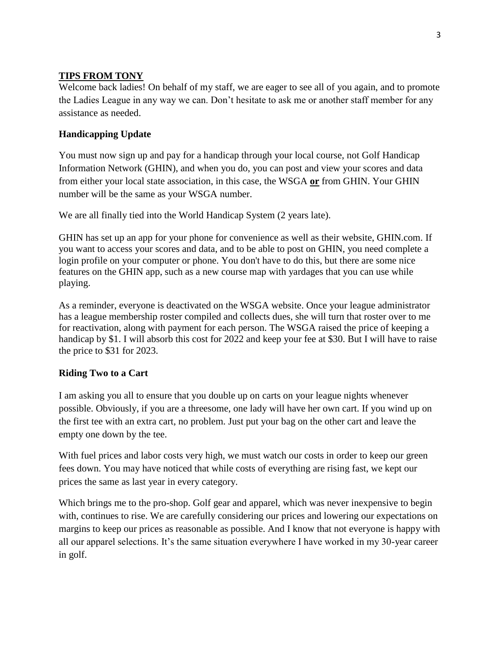## **TIPS FROM TONY**

Welcome back ladies! On behalf of my staff, we are eager to see all of you again, and to promote the Ladies League in any way we can. Don't hesitate to ask me or another staff member for any assistance as needed.

# **Handicapping Update**

You must now sign up and pay for a handicap through your local course, not Golf Handicap Information Network (GHIN), and when you do, you can post and view your scores and data from either your local state association, in this case, the WSGA **or** from GHIN. Your GHIN number will be the same as your WSGA number.

We are all finally tied into the World Handicap System (2 years late).

GHIN has set up an app for your phone for convenience as well as their website, GHIN.com. If you want to access your scores and data, and to be able to post on GHIN, you need complete a login profile on your computer or phone. You don't have to do this, but there are some nice features on the GHIN app, such as a new course map with yardages that you can use while playing.

As a reminder, everyone is deactivated on the WSGA website. Once your league administrator has a league membership roster compiled and collects dues, she will turn that roster over to me for reactivation, along with payment for each person. The WSGA raised the price of keeping a handicap by \$1. I will absorb this cost for 2022 and keep your fee at \$30. But I will have to raise the price to \$31 for 2023.

# **Riding Two to a Cart**

I am asking you all to ensure that you double up on carts on your league nights whenever possible. Obviously, if you are a threesome, one lady will have her own cart. If you wind up on the first tee with an extra cart, no problem. Just put your bag on the other cart and leave the empty one down by the tee.

With fuel prices and labor costs very high, we must watch our costs in order to keep our green fees down. You may have noticed that while costs of everything are rising fast, we kept our prices the same as last year in every category.

Which brings me to the pro-shop. Golf gear and apparel, which was never inexpensive to begin with, continues to rise. We are carefully considering our prices and lowering our expectations on margins to keep our prices as reasonable as possible. And I know that not everyone is happy with all our apparel selections. It's the same situation everywhere I have worked in my 30-year career in golf.